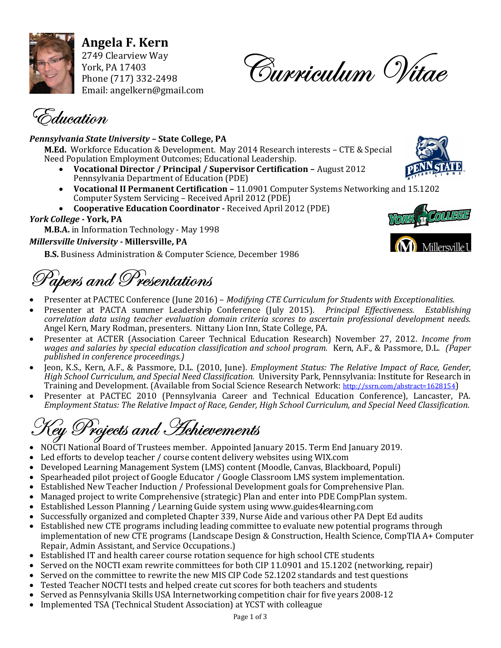

Angela F. Kern 2749 Clearview Way York, PA 17403 Phone (717) 332-2498 Email: angelkern@gmail.com

Curriculum Vitae

 $\tilde{\vec{z}}$ ducation

### Pennsylvania State University – State College, PA

M.Ed. Workforce Education & Development. May 2014 Research interests – CTE & Special Need Population Employment Outcomes; Educational Leadership.

- Vocational Director / Principal / Supervisor Certification August 2012 Pennsylvania Department of Education (PDE)
- Vocational II Permanent Certification 11.0901 Computer Systems Networking and 15.1202 Computer System Servicing – Received April 2012 (PDE)
- Cooperative Education Coordinator Received April 2012 (PDE)

### York College - York, PA

M.B.A. in Information Technology - May 1998

### Millersville University - Millersville, PA

B.S. Business Administration & Computer Science, December 1986

 $P_{\alpha}$ apers and Presentations

- Presenter at PACTEC Conference (June 2016) Modifying CTE Curriculum for Students with Exceptionalities.
- Presenter at PACTA summer Leadership Conference (July 2015). Principal Effectiveness. Establishing correlation data using teacher evaluation domain criteria scores to ascertain professional development needs. Angel Kern, Mary Rodman, presenters. Nittany Lion Inn, State College, PA.
- Presenter at ACTER (Association Career Technical Education Research) November 27, 2012. Income from wages and salaries by special education classification and school program. Kern, A.F., & Passmore, D.L. (Paper published in conference proceedings.)
- Jeon, K.S., Kern, A.F., & Passmore, D.L. (2010, June). Employment Status: The Relative Impact of Race, Gender, High School Curriculum, and Special Need Classification. University Park, Pennsylvania: Institute for Research in Training and Development. (Available from Social Science Research Network: http://ssrn.com/abstract=1628154)
- Presenter at PACTEC 2010 (Pennsylvania Career and Technical Education Conference), Lancaster, PA. Employment Status: The Relative Impact of Race, Gender, High School Curriculum, and Special Need Classification.

# $\mathcal{\widehat{P}}$ rojects and *Ac*hievements

- NOCTI National Board of Trustees member. Appointed January 2015. Term End January 2019.
- Led efforts to develop teacher / course content delivery websites using WIX.com
- Developed Learning Management System (LMS) content (Moodle, Canvas, Blackboard, Populi)
- Spearheaded pilot project of Google Educator / Google Classroom LMS system implementation.
- Established New Teacher Induction / Professional Development goals for Comprehensive Plan.
- Managed project to write Comprehensive (strategic) Plan and enter into PDE CompPlan system.
- Established Lesson Planning / Learning Guide system using www.guides4learning.com
- Successfully organized and completed Chapter 339, Nurse Aide and various other PA Dept Ed audits
- Established new CTE programs including leading committee to evaluate new potential programs through implementation of new CTE programs (Landscape Design & Construction, Health Science, CompTIA A+ Computer Repair, Admin Assistant, and Service Occupations.)
- Established IT and health career course rotation sequence for high school CTE students
- Served on the NOCTI exam rewrite committees for both CIP 11.0901 and 15.1202 (networking, repair)
- Served on the committee to rewrite the new MIS CIP Code 52.1202 standards and test questions
- Tested Teacher NOCTI tests and helped create cut scores for both teachers and students
- Served as Pennsylvania Skills USA Internetworking competition chair for five years 2008-12
- Implemented TSA (Technical Student Association) at YCST with colleague

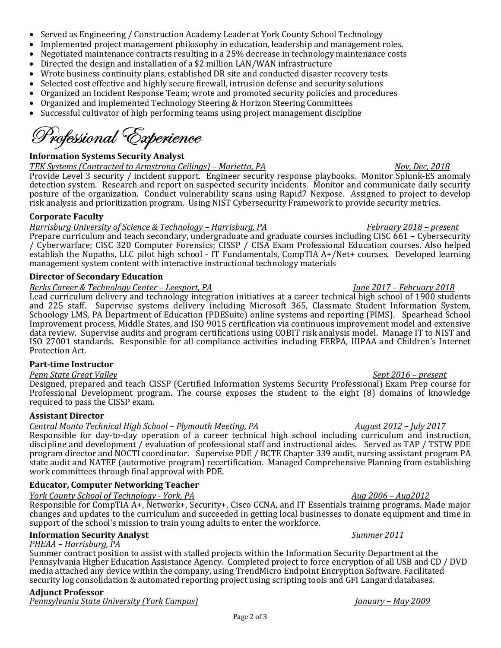- Served as Engineering / Construction Academy Leader at York County School Technology
- Implemented project management philosophy in education, leadership and management roles.
- Negotiated maintenance contracts resulting in a 25% decrease in technology maintenance costs
- Directed the design and installation of a \$2 million LAN/WAN infrastructure
- Wrote business continuity plans, established DR site and conducted disaster recovery tests
- Selected cost effective and highly secure firewall, intrusion defense and security solutions
- Organized an Incident Response Team; wrote and promoted security policies and procedures
- Organized and implemented Technology Steering & Horizon Steering Committees
- Successful cultivator of high performing teams using project management discipline

# Professional Experience

# Information Systems Security Analyst

TEK Systems (Contracted to Armstrong Ceilings) – Marietta, PA Nov, Dec, 2018 Provide Level 3 security / incident support. Engineer security response playbooks. Monitor Splunk-ES anomaly

detection system. Research and report on suspected security incidents. Monitor and communicate daily security posture of the organization. Conduct vulnerability scans using Rapid7 Nexpose. Assigned to project to develop risk analysis and prioritization program. Using NIST Cybersecurity Framework to provide security metrics.

## Corporate Faculty

# Harrisburg University of Science & Technology – Harrisburg, PA February 2018 – present

Prepare curriculum and teach secondary, undergraduate and graduate courses including CISC 661 – Cybersecurity / Cyberwarfare; CISC 320 Computer Forensics; CISSP / CISA Exam Professional Education courses. Also helped establish the Nupaths, LLC pilot high school - IT Fundamentals, CompTIA A+/Net+ courses. Developed learning management system content with interactive instructional technology materials

# Director of Secondary Education

# Berks Career & Technology Center – Leesport, PA June 2017 – February 2018

Lead curriculum delivery and technology integration initiatives at a career technical high school of 1900 students and 225 staff. Supervise systems delivery including Microsoft 365, Classmate Student Information System, Schoology LMS, PA Department of Education (PDESuite) online systems and reporting (PIMS). Spearhead School Improvement process, Middle States, and ISO 9015 certification via continuous improvement model and extensive data review. Supervise audits and program certifications using COBIT risk analysis model. Manage IT to NIST and ISO 27001 standards. Responsible for all compliance activities including FERPA, HIPAA and Children's Internet Protection Act.

# Part-time Instructor

Penn State Great Valley Sept 2016 – present Designed, prepared and teach CISSP (Certified Information Systems Security Professional) Exam Prep course for Professional Development program. The course exposes the student to the eight (8) domains of knowledge required to pass the CISSP exam.

# Assistant Director

# Central Monto Technical High School – Plymouth Meeting, PA August 2012 – July 2017

Responsible for day-to-day operation of a career technical high school including curriculum and instruction, discipline and development / evaluation of professional staff and instructional aides. Served as TAP / TSTW PDE program director and NOCTI coordinator. Supervise PDE / BCTE Chapter 339 audit, nursing assistant program PA state audit and NATEF (automotive program) recertification. Managed Comprehensive Planning from establishing work committees through final approval with PDE.

# Educator, Computer Networking Teacher

York County School of Technology - York, PA Aug 2006 – Aug 2006 – Aug 2012

Responsible for CompTIA A+, Network+, Security+, Cisco CCNA, and IT Essentials training programs. Made major changes and updates to the curriculum and succeeded in getting local businesses to donate equipment and time in support of the school's mission to train young adults to enter the workforce.

# **Information Security Analyst** Summer 2011

# PHEAA – Harrisburg, PA

Summer contract position to assist with stalled projects within the Information Security Department at the Pennsylvania Higher Education Assistance Agency. Completed project to force encryption of all USB and CD / DVD media attached any device within the company, using TrendMicro Endpoint Encryption Software. Facilitated security log consolidation & automated reporting project using scripting tools and GFI Langard databases.

# Adjunct Professor

Pennsylvania State University (York Campus)  $\frac{1}{2}$  (*January – May 2009*